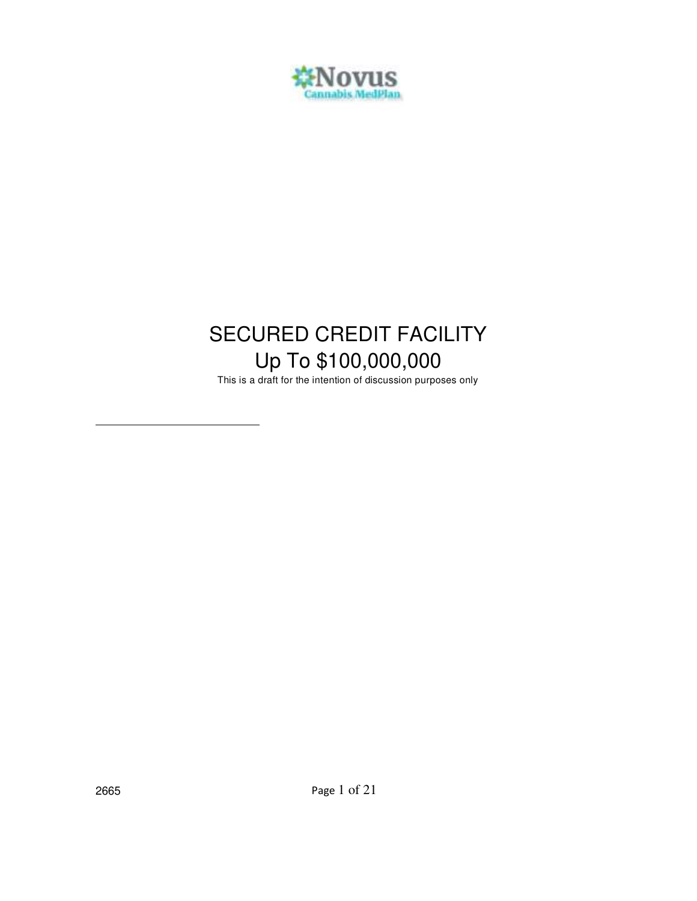

# SECURED CREDIT FACILITY Up To \$100,000,000

This is a draft for the intention of discussion purposes only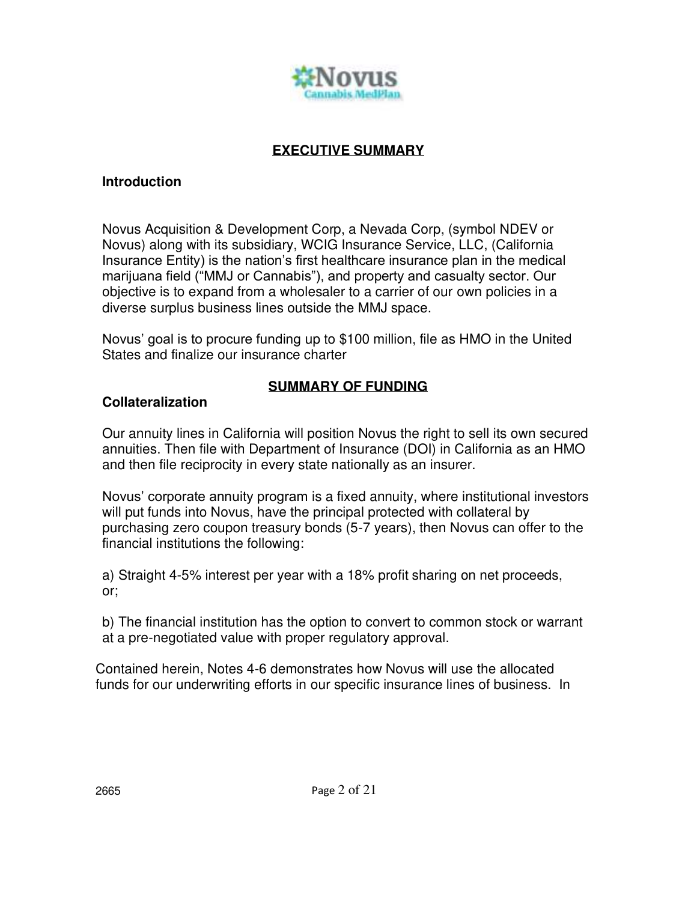

# **EXECUTIVE SUMMARY**

#### **Introduction**

Novus Acquisition & Development Corp, a Nevada Corp, (symbol NDEV or Novus) along with its subsidiary, WCIG Insurance Service, LLC, (California Insurance Entity) is the nation's first healthcare insurance plan in the medical marijuana field ("MMJ or Cannabis"), and property and casualty sector. Our objective is to expand from a wholesaler to a carrier of our own policies in a diverse surplus business lines outside the MMJ space.

Novus' goal is to procure funding up to \$100 million, file as HMO in the United States and finalize our insurance charter

# **SUMMARY OF FUNDING**

# **Collateralization**

Our annuity lines in California will position Novus the right to sell its own secured annuities. Then file with Department of Insurance (DOI) in California as an HMO and then file reciprocity in every state nationally as an insurer.

Novus' corporate annuity program is a fixed annuity, where institutional investors will put funds into Novus, have the principal protected with collateral by purchasing zero coupon treasury bonds (5-7 years), then Novus can offer to the financial institutions the following:

a) Straight 4-5% interest per year with a 18% profit sharing on net proceeds, or;

b) The financial institution has the option to convert to common stock or warrant at a pre-negotiated value with proper regulatory approval.

Contained herein, Notes 4-6 demonstrates how Novus will use the allocated funds for our underwriting efforts in our specific insurance lines of business. In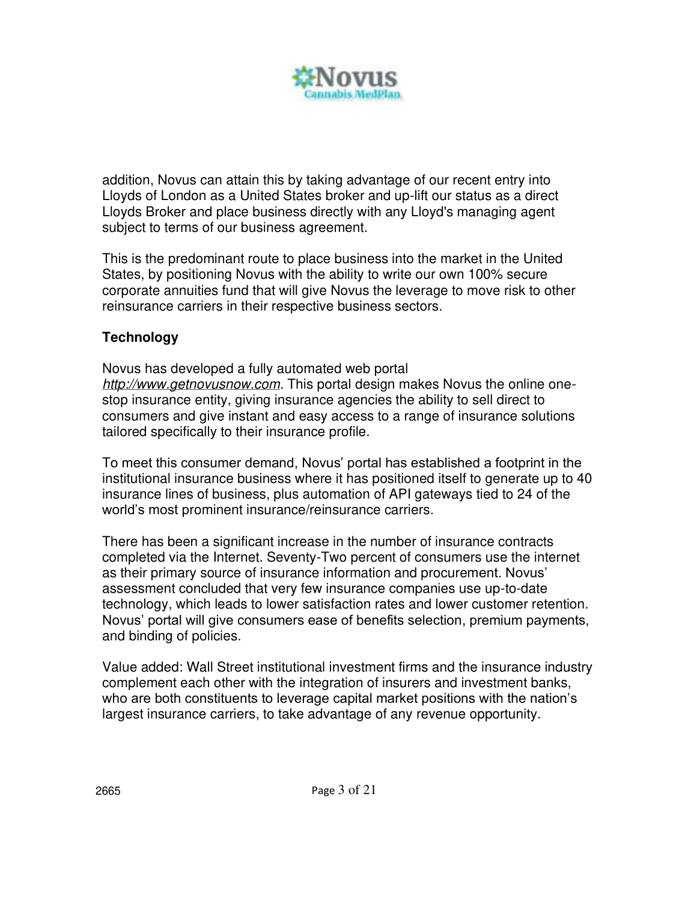

addition, Novus can attain this by taking advantage of our recent entry into Lloyds of London as a United States broker and up-lift our status as a direct Lloyds Broker and place business directly with any Lloyd's managing agent subject to terms of our business agreement.

This is the predominant route to place business into the market in the United States, by positioning Novus with the ability to write our own 100% secure corporate annuities fund that will give Novus the leverage to move risk to other reinsurance carriers in their respective business sectors.

# **Technology**

Novus has developed a fully automated web portal *[http://www.getnovusnow.com](http://www.getnovusnow.com/)*. This portal design makes Novus the online onestop insurance entity, giving insurance agencies the ability to sell direct to consumers and give instant and easy access to a range of insurance solutions tailored specifically to their insurance profile.

To meet this consumer demand, Novus' portal has established a footprint in the institutional insurance business where it has positioned itself to generate up to 40 insurance lines of business, plus automation of API gateways tied to 24 of the world's most prominent insurance/reinsurance carriers.

There has been a significant increase in the number of insurance contracts completed via the Internet. Seventy-Two percent of consumers use the internet as their primary source of insurance information and procurement. Novus' assessment concluded that very few insurance companies use up-to-date technology, which leads to lower satisfaction rates and lower customer retention. Novus' portal will give consumers ease of benefits selection, premium payments, and binding of policies.

Value added: Wall Street institutional investment firms and the insurance industry complement each other with the integration of insurers and investment banks, who are both constituents to leverage capital market positions with the nation's largest insurance carriers, to take advantage of any revenue opportunity.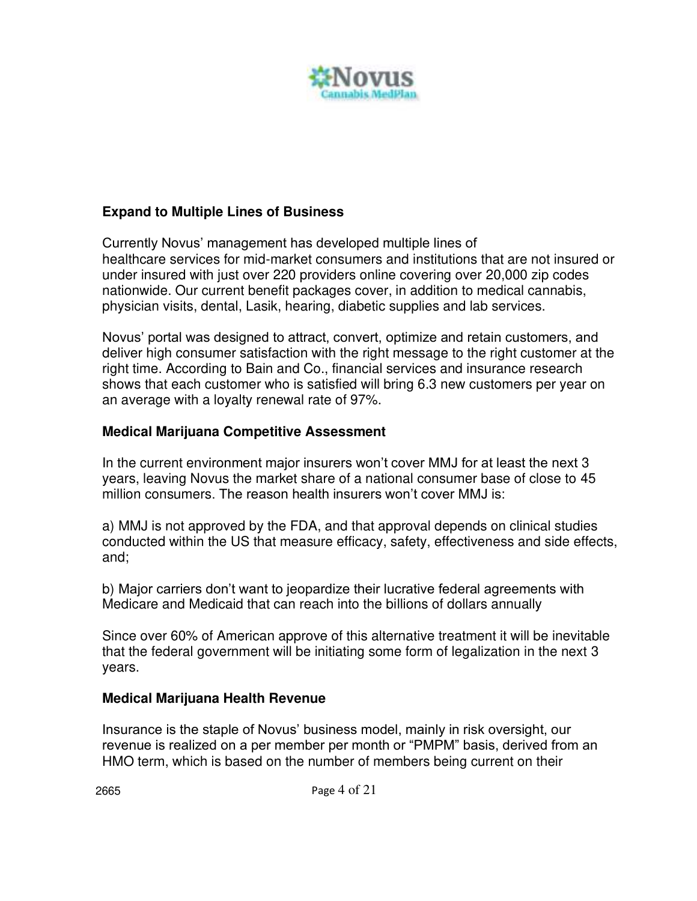

# **Expand to Multiple Lines of Business**

Currently Novus' management has developed multiple lines of healthcare services for mid-market consumers and institutions that are not insured or under insured with just over 220 providers online covering over 20,000 zip codes nationwide. Our current benefit packages cover, in addition to medical cannabis, physician visits, dental, Lasik, hearing, diabetic supplies and lab services.

Novus' portal was designed to attract, convert, optimize and retain customers, and deliver high consumer satisfaction with the right message to the right customer at the right time. According to Bain and Co., financial services and insurance research shows that each customer who is satisfied will bring 6.3 new customers per year on an average with a loyalty renewal rate of 97%.

# **Medical Marijuana Competitive Assessment**

In the current environment major insurers won't cover MMJ for at least the next 3 years, leaving Novus the market share of a national consumer base of close to 45 million consumers. The reason health insurers won't cover MMJ is:

a) MMJ is not approved by the FDA, and that approval depends on clinical studies conducted within the US that measure efficacy, safety, effectiveness and side effects, and;

b) Major carriers don't want to jeopardize their lucrative federal agreements with Medicare and Medicaid that can reach into the billions of dollars annually

Since over 60% of American approve of this alternative treatment it will be inevitable that the federal government will be initiating some form of legalization in the next 3 years.

# **Medical Marijuana Health Revenue**

Insurance is the staple of Novus' business model, mainly in risk oversight, our revenue is realized on a per member per month or "PMPM" basis, derived from an HMO term, which is based on the number of members being current on their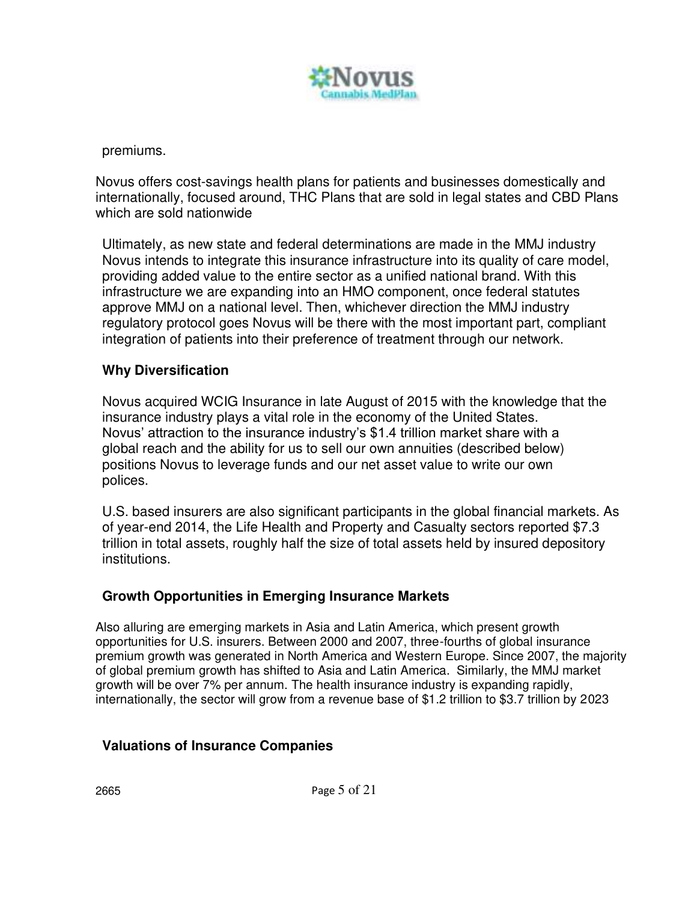

premiums.

Novus offers cost-savings health plans for patients and businesses domestically and internationally, focused around, THC Plans that are sold in legal states and CBD Plans which are sold nationwide

Ultimately, as new state and federal determinations are made in the MMJ industry Novus intends to integrate this insurance infrastructure into its quality of care model, providing added value to the entire sector as a unified national brand. With this infrastructure we are expanding into an HMO component, once federal statutes approve MMJ on a national level. Then, whichever direction the MMJ industry regulatory protocol goes Novus will be there with the most important part, compliant integration of patients into their preference of treatment through our network.

# **Why Diversification**

Novus acquired WCIG Insurance in late August of 2015 with the knowledge that the insurance industry plays a vital role in the economy of the United States. Novus' attraction to the insurance industry's \$1.4 trillion market share with a global reach and the ability for us to sell our own annuities (described below) positions Novus to leverage funds and our net asset value to write our own polices.

U.S. based insurers are also significant participants in the global financial markets. As of year-end 2014, the Life Health and Property and Casualty sectors reported \$7.3 trillion in total assets, roughly half the size of total assets held by insured depository institutions.

# **Growth Opportunities in Emerging Insurance Markets**

Also alluring are emerging markets in Asia and Latin America, which present growth opportunities for U.S. insurers. Between 2000 and 2007, three-fourths of global insurance premium growth was generated in North America and Western Europe. Since 2007, the majority of global premium growth has shifted to Asia and Latin America. Similarly, the MMJ market growth will be over 7% per annum. The health insurance industry is expanding rapidly, internationally, the sector will grow from a revenue base of \$1.2 trillion to \$3.7 trillion by 2023

# **Valuations of Insurance Companies**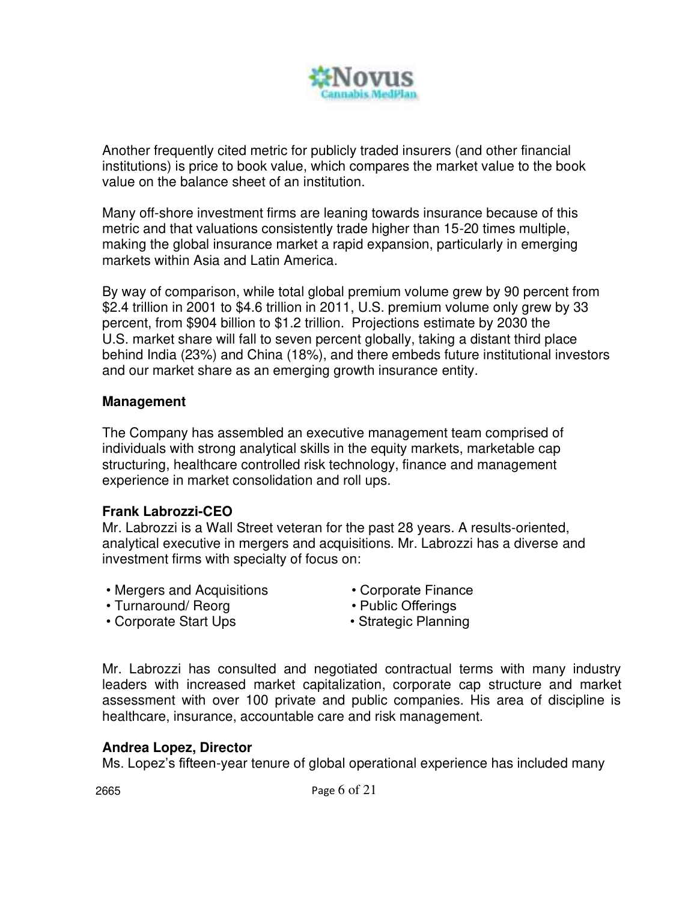

Another frequently cited metric for publicly traded insurers (and other financial institutions) is price to book value, which compares the market value to the book value on the balance sheet of an institution.

Many off-shore investment firms are leaning towards insurance because of this metric and that valuations consistently trade higher than 15-20 times multiple, making the global insurance market a rapid expansion, particularly in emerging markets within Asia and Latin America.

By way of comparison, while total global premium volume grew by 90 percent from \$2.4 trillion in 2001 to \$4.6 trillion in 2011, U.S. premium volume only grew by 33 percent, from \$904 billion to \$1.2 trillion. Projections estimate by 2030 the U.S. market share will fall to seven percent globally, taking a distant third place behind India (23%) and China (18%), and there embeds future institutional investors and our market share as an emerging growth insurance entity.

#### **Management**

The Company has assembled an executive management team comprised of individuals with strong analytical skills in the equity markets, marketable cap structuring, healthcare controlled risk technology, finance and management experience in market consolidation and roll ups.

#### **Frank Labrozzi-CEO**

Mr. Labrozzi is a Wall Street veteran for the past 28 years. A results-oriented, analytical executive in mergers and acquisitions. Mr. Labrozzi has a diverse and investment firms with specialty of focus on:

- Mergers and Acquisitions • Mergers and Acquisitions • Corporate Finance<br>• Turnaround/ Reorg • Public Offerings
	-

- 
- Corporate Start Ups Strategic Planning
	-

Mr. Labrozzi has consulted and negotiated contractual terms with many industry leaders with increased market capitalization, corporate cap structure and market assessment with over 100 private and public companies. His area of discipline is healthcare, insurance, accountable care and risk management.

#### **Andrea Lopez, Director**

Ms. Lopez's fifteen-year tenure of global operational experience has included many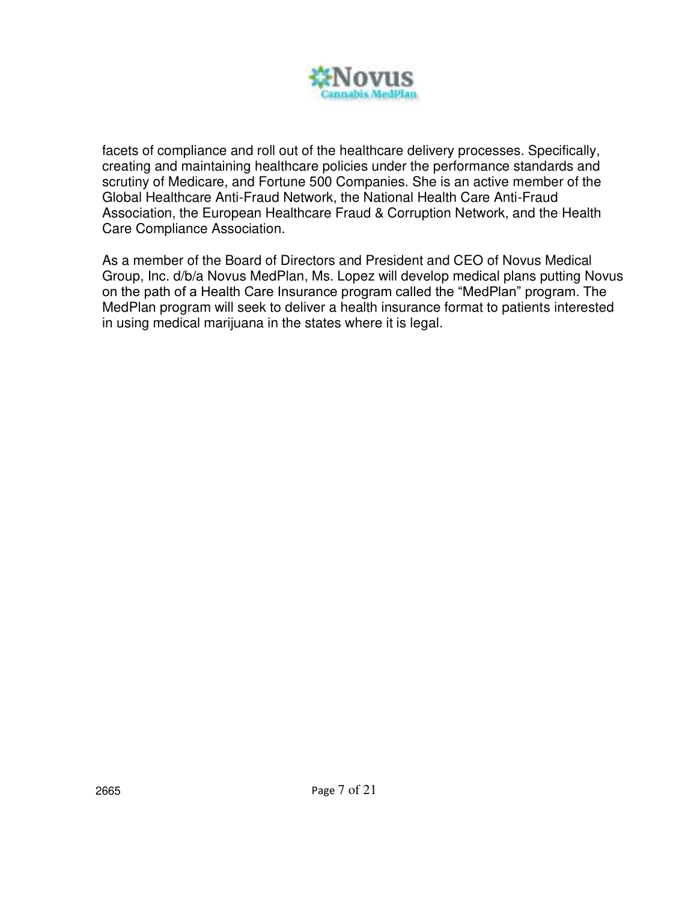

facets of compliance and roll out of the healthcare delivery processes. Specifically, creating and maintaining healthcare policies under the performance standards and scrutiny of Medicare, and Fortune 500 Companies. She is an active member of the Global Healthcare Anti-Fraud Network, the National Health Care Anti-Fraud Association, the European Healthcare Fraud & Corruption Network, and the Health Care Compliance Association.

As a member of the Board of Directors and President and CEO of Novus Medical Group, Inc. d/b/a Novus MedPlan, Ms. Lopez will develop medical plans putting Novus on the path of a Health Care Insurance program called the "MedPlan" program. The MedPlan program will seek to deliver a health insurance format to patients interested in using medical marijuana in the states where it is legal.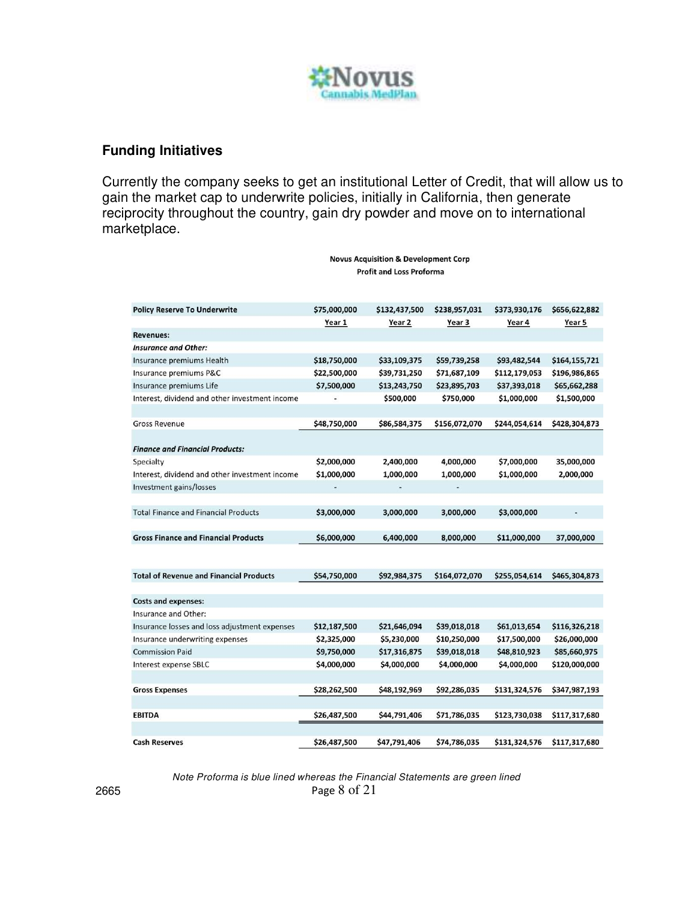

### **Funding Initiatives**

Currently the company seeks to get an institutional Letter of Credit, that will allow us to gain the market cap to underwrite policies, initially in California, then generate reciprocity throughout the country, gain dry powder and move on to international marketplace.

| <b>Policy Reserve To Underwrite</b>            | \$75,000,000 | \$132,437,500 | \$238,957,031 | \$373,930,176 | \$656,622,882 |
|------------------------------------------------|--------------|---------------|---------------|---------------|---------------|
|                                                | Year 1       | Year 2        | Year 3        | Year 4        | Year 5        |
| <b>Revenues:</b>                               |              |               |               |               |               |
| <b>Insurance and Other:</b>                    |              |               |               |               |               |
| Insurance premiums Health                      | \$18,750,000 | \$33,109,375  | \$59,739,258  | \$93,482,544  | \$164,155,721 |
| Insurance premiums P&C                         | \$22,500,000 | \$39,731,250  | \$71,687,109  | \$112,179,053 | \$196,986,865 |
| Insurance premiums Life                        | \$7,500,000  | \$13,243,750  | \$23,895,703  | \$37,393,018  | \$65,662,288  |
| Interest, dividend and other investment income |              | \$500,000     | \$750,000     | \$1,000,000   | \$1,500,000   |
|                                                |              |               |               |               |               |
| <b>Gross Revenue</b>                           | \$48,750,000 | \$86,584,375  | \$156,072,070 | \$244,054,614 | \$428,304,873 |
|                                                |              |               |               |               |               |
| <b>Finance and Financial Products:</b>         |              |               |               |               |               |
| Specialty                                      | \$2,000,000  | 2,400,000     | 4,000,000     | \$7,000,000   | 35,000,000    |
| Interest, dividend and other investment income | \$1,000,000  | 1,000,000     | 1,000,000     | \$1,000,000   | 2,000,000     |
| Investment gains/losses                        |              |               |               |               |               |
|                                                |              |               |               |               |               |
| <b>Total Finance and Financial Products</b>    | \$3,000,000  | 3,000,000     | 3,000,000     | \$3,000,000   |               |
|                                                |              |               |               |               |               |
| <b>Gross Finance and Financial Products</b>    | \$6,000,000  | 6,400,000     | 8,000,000     | \$11,000,000  | 37,000,000    |
|                                                |              |               |               |               |               |
|                                                |              |               |               |               |               |
| <b>Total of Revenue and Financial Products</b> | \$54,750,000 | \$92,984,375  | \$164,072,070 | \$255,054,614 | \$465,304,873 |
|                                                |              |               |               |               |               |
| <b>Costs and expenses:</b>                     |              |               |               |               |               |
| Insurance and Other:                           |              |               |               |               |               |
| Insurance losses and loss adjustment expenses  | \$12,187,500 | \$21,646,094  | \$39,018,018  | \$61,013,654  | \$116,326,218 |
| Insurance underwriting expenses                | \$2,325,000  | \$5,230,000   | \$10,250,000  | \$17,500,000  | \$26,000,000  |
| <b>Commission Paid</b>                         | \$9,750,000  | \$17,316,875  | \$39,018,018  | \$48,810,923  | \$85,660,975  |
| Interest expense SBLC                          | \$4,000,000  | \$4,000,000   | \$4,000,000   | \$4,000,000   | \$120,000,000 |
|                                                |              |               |               |               |               |
| <b>Gross Expenses</b>                          | \$28,262,500 | \$48,192,969  | \$92,286,035  | \$131,324,576 | \$347,987,193 |
|                                                |              |               |               |               |               |
| <b>EBITDA</b>                                  | \$26,487,500 | \$44,791,406  | \$71,786,035  | \$123,730,038 | \$117,317,680 |
|                                                |              |               |               |               |               |
| <b>Cash Reserves</b>                           | \$26,487,500 | \$47,791,406  | \$74,786,035  | \$131,324,576 | \$117,317,680 |

**Novus Acquisition & Development Corp Profit and Loss Proforma** 

2665 Page 8 of 21 *Note Proforma is blue lined whereas the Financial Statements are green lined*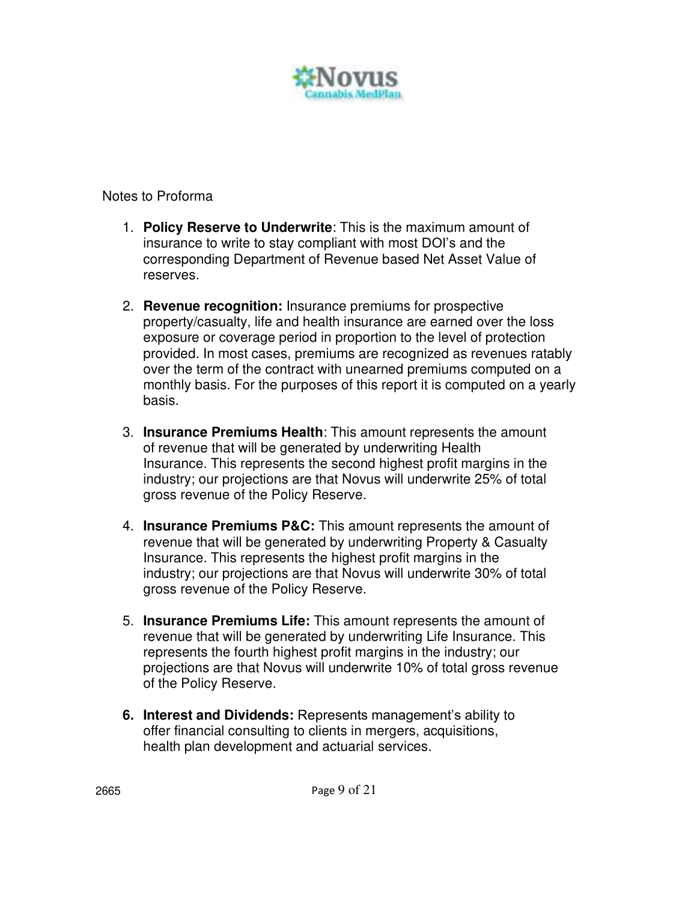

Notes to Proforma

- 1. **Policy Reserve to Underwrite**: This is the maximum amount of insurance to write to stay compliant with most DOI's and the corresponding Department of Revenue based Net Asset Value of reserves.
- 2. **Revenue recognition:** Insurance premiums for prospective property/casualty, life and health insurance are earned over the loss exposure or coverage period in proportion to the level of protection provided. In most cases, premiums are recognized as revenues ratably over the term of the contract with unearned premiums computed on a monthly basis. For the purposes of this report it is computed on a yearly basis.
- 3. **Insurance Premiums Health**: This amount represents the amount of revenue that will be generated by underwriting Health Insurance. This represents the second highest profit margins in the industry; our projections are that Novus will underwrite 25% of total gross revenue of the Policy Reserve.
- 4. **Insurance Premiums P&C:** This amount represents the amount of revenue that will be generated by underwriting Property & Casualty Insurance. This represents the highest profit margins in the industry; our projections are that Novus will underwrite 30% of total gross revenue of the Policy Reserve.
- 5. **Insurance Premiums Life:** This amount represents the amount of revenue that will be generated by underwriting Life Insurance. This represents the fourth highest profit margins in the industry; our projections are that Novus will underwrite 10% of total gross revenue of the Policy Reserve.
- **6. Interest and Dividends:** Represents management's ability to offer financial consulting to clients in mergers, acquisitions, health plan development and actuarial services.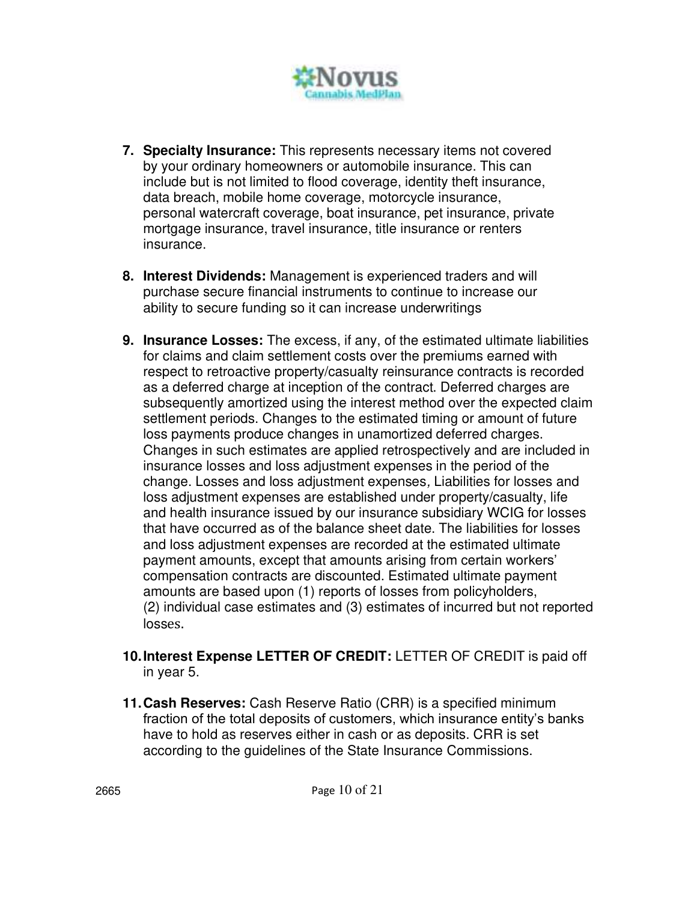

- **7. Specialty Insurance:** This represents necessary items not covered by your ordinary homeowners or automobile insurance. This can include but is not limited to flood coverage, identity theft insurance, data breach, mobile home coverage, motorcycle insurance, personal watercraft coverage, boat insurance, pet insurance, private mortgage insurance, travel insurance, title insurance or renters insurance.
- **8. Interest Dividends:** Management is experienced traders and will purchase secure financial instruments to continue to increase our ability to secure funding so it can increase underwritings
- **9. Insurance Losses:** The excess, if any, of the estimated ultimate liabilities for claims and claim settlement costs over the premiums earned with respect to retroactive property/casualty reinsurance contracts is recorded as a deferred charge at inception of the contract. Deferred charges are subsequently amortized using the interest method over the expected claim settlement periods. Changes to the estimated timing or amount of future loss payments produce changes in unamortized deferred charges. Changes in such estimates are applied retrospectively and are included in insurance losses and loss adjustment expenses in the period of the change. Losses and loss adjustment expenses*,* Liabilities for losses and loss adjustment expenses are established under property/casualty, life and health insurance issued by our insurance subsidiary WCIG for losses that have occurred as of the balance sheet date. The liabilities for losses and loss adjustment expenses are recorded at the estimated ultimate payment amounts, except that amounts arising from certain workers' compensation contracts are discounted. Estimated ultimate payment amounts are based upon (1) reports of losses from policyholders, (2) individual case estimates and (3) estimates of incurred but not reported losses.
- **10. Interest Expense LETTER OF CREDIT:** LETTER OF CREDIT is paid off in year 5.
- **11. Cash Reserves:** Cash Reserve Ratio (CRR) is a specified minimum fraction of the total deposits of customers, which insurance entity's banks have to hold as reserves either in cash or as deposits. CRR is set according to the guidelines of the State Insurance Commissions.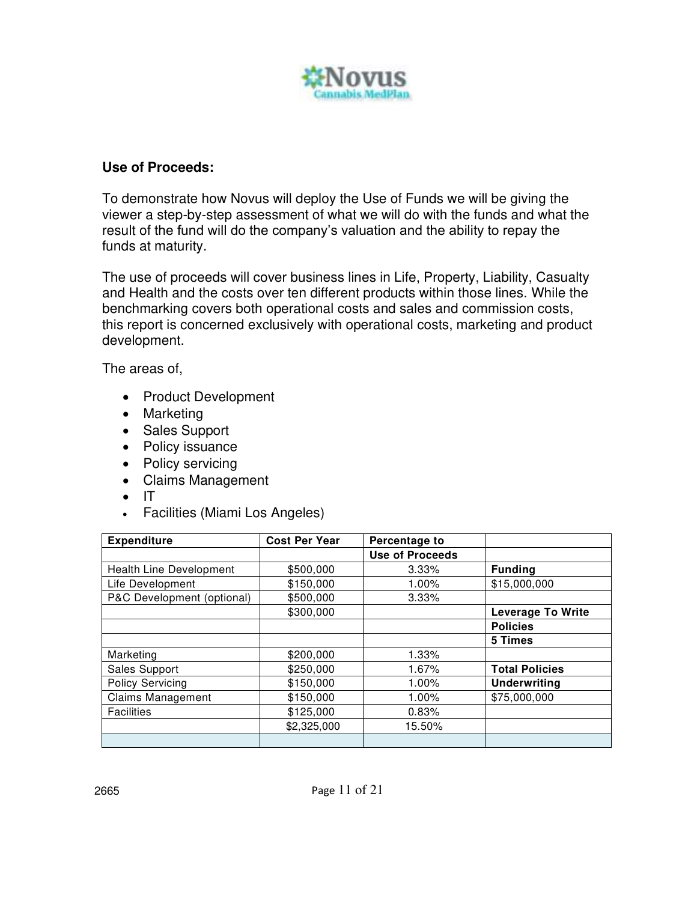

# **Use of Proceeds:**

To demonstrate how Novus will deploy the Use of Funds we will be giving the viewer a step-by-step assessment of what we will do with the funds and what the result of the fund will do the company's valuation and the ability to repay the funds at maturity.

The use of proceeds will cover business lines in Life, Property, Liability, Casualty and Health and the costs over ten different products within those lines. While the benchmarking covers both operational costs and sales and commission costs, this report is concerned exclusively with operational costs, marketing and product development.

The areas of,

- Product Development
- Marketing
- Sales Support
- Policy issuance
- Policy servicing
- Claims Management
- IT
- Facilities (Miami Los Angeles)

| <b>Expenditure</b>         | <b>Cost Per Year</b> | Percentage to          |                          |
|----------------------------|----------------------|------------------------|--------------------------|
|                            |                      | <b>Use of Proceeds</b> |                          |
| Health Line Development    | \$500,000            | 3.33%                  | <b>Funding</b>           |
| Life Development           | \$150,000            | 1.00%                  | \$15,000,000             |
| P&C Development (optional) | \$500,000            | 3.33%                  |                          |
|                            | \$300,000            |                        | <b>Leverage To Write</b> |
|                            |                      |                        | <b>Policies</b>          |
|                            |                      |                        | 5 Times                  |
| Marketing                  | \$200,000            | 1.33%                  |                          |
| Sales Support              | \$250,000            | 1.67%                  | <b>Total Policies</b>    |
| <b>Policy Servicing</b>    | \$150,000            | 1.00%                  | <b>Underwriting</b>      |
| <b>Claims Management</b>   | \$150,000            | 1.00%                  | \$75,000,000             |
| <b>Facilities</b>          | \$125,000            | 0.83%                  |                          |
|                            | \$2,325,000          | 15.50%                 |                          |
|                            |                      |                        |                          |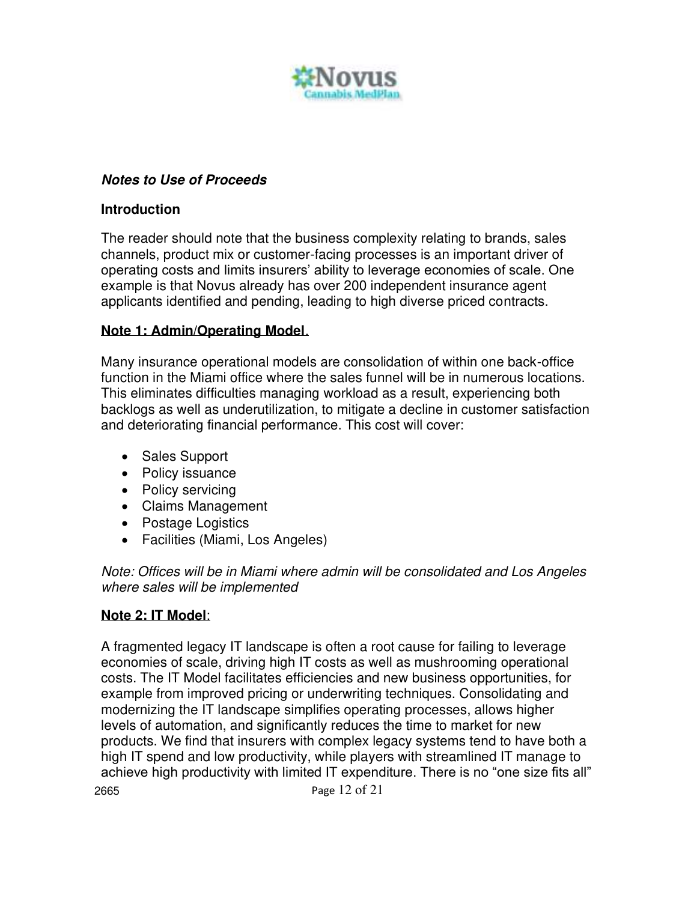

# **Notes to Use of Proceeds**

### **Introduction**

The reader should note that the business complexity relating to brands, sales channels, product mix or customer-facing processes is an important driver of operating costs and limits insurers' ability to leverage economies of scale. One example is that Novus already has over 200 independent insurance agent applicants identified and pending, leading to high diverse priced contracts.

# **Note 1: Admin/Operating Model**.

Many insurance operational models are consolidation of within one back-office function in the Miami office where the sales funnel will be in numerous locations. This eliminates difficulties managing workload as a result, experiencing both backlogs as well as underutilization, to mitigate a decline in customer satisfaction and deteriorating financial performance. This cost will cover:

- Sales Support
- Policy issuance
- Policy servicing
- Claims Management
- Postage Logistics
- Facilities (Miami, Los Angeles)

*Note: Offices will be in Miami where admin will be consolidated and Los Angeles where sales will be implemented* 

# **Note 2: IT Model**:

2665 Page 12 of 21 A fragmented legacy IT landscape is often a root cause for failing to leverage economies of scale, driving high IT costs as well as mushrooming operational costs. The IT Model facilitates efficiencies and new business opportunities, for example from improved pricing or underwriting techniques. Consolidating and modernizing the IT landscape simplifies operating processes, allows higher levels of automation, and significantly reduces the time to market for new products. We find that insurers with complex legacy systems tend to have both a high IT spend and low productivity, while players with streamlined IT manage to achieve high productivity with limited IT expenditure. There is no "one size fits all"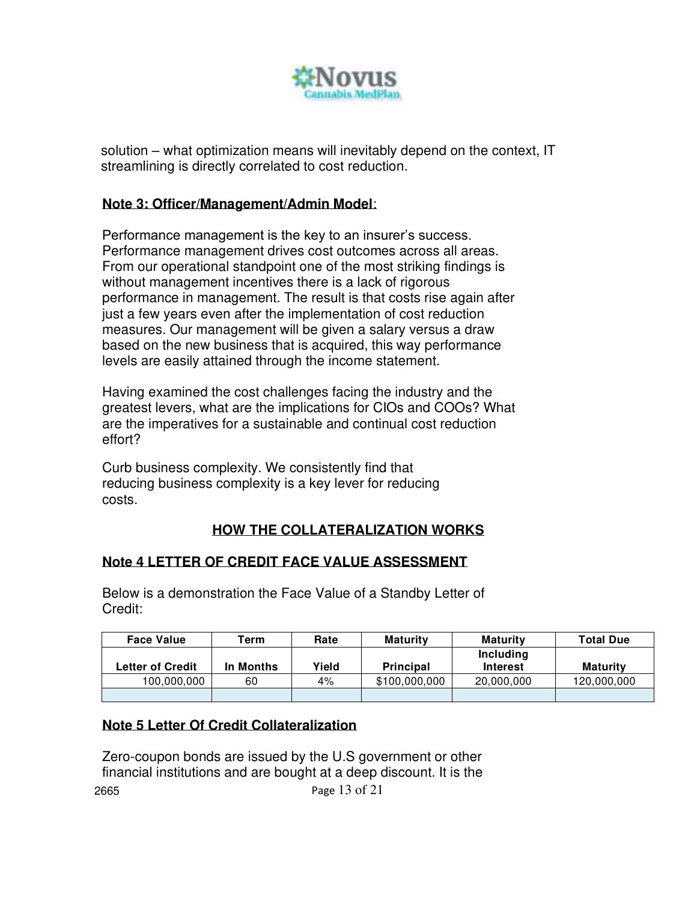

solution – what optimization means will inevitably depend on the context, IT streamlining is directly correlated to cost reduction.

# **Note 3: Officer/Management/Admin Model**:

Performance management is the key to an insurer's success. Performance management drives cost outcomes across all areas. From our operational standpoint one of the most striking findings is without management incentives there is a lack of rigorous performance in management. The result is that costs rise again after just a few years even after the implementation of cost reduction measures. Our management will be given a salary versus a draw based on the new business that is acquired, this way performance levels are easily attained through the income statement.

Having examined the cost challenges facing the industry and the greatest levers, what are the implications for CIOs and COOs? What are the imperatives for a sustainable and continual cost reduction effort?

Curb business complexity. We consistently find that reducing business complexity is a key lever for reducing costs.

# **HOW THE COLLATERALIZATION WORKS**

# **Note 4 LETTER OF CREDIT FACE VALUE ASSESSMENT**

Below is a demonstration the Face Value of a Standby Letter of Credit:

| <b>Face Value</b>       | Term      | Rate  | <b>Maturity</b>  | <b>Maturity</b> | <b>Total Due</b> |
|-------------------------|-----------|-------|------------------|-----------------|------------------|
|                         |           |       |                  | Including       |                  |
| <b>Letter of Credit</b> | In Months | Yield | <b>Principal</b> | <b>Interest</b> | Maturity         |
| 100,000,000             | 60        | 4%    | \$100,000,000    | 20,000,000      | 120,000,000      |
|                         |           |       |                  |                 |                  |

#### **Note 5 Letter Of Credit Collateralization**

2665 Page 13 of 21 Zero-coupon bonds are issued by the U.S government or other financial institutions and are bought at a deep discount. It is the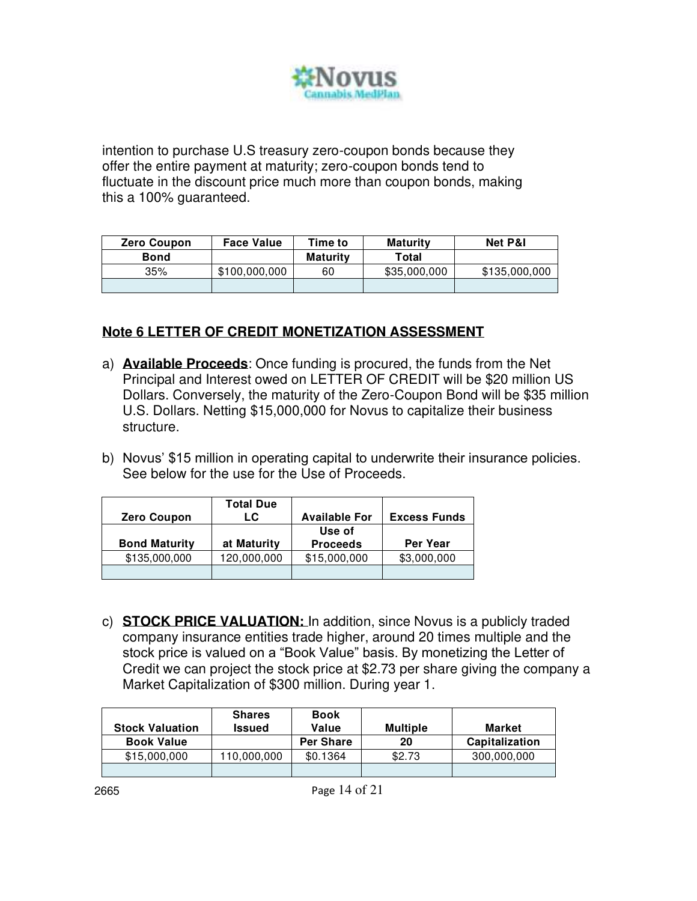

intention to purchase U.S treasury zero-coupon bonds because they offer the entire payment at maturity; zero-coupon bonds tend to fluctuate in the discount price much more than coupon bonds, making this a 100% guaranteed.

| <b>Zero Coupon</b> | <b>Face Value</b> | Time to         | <b>Maturity</b> | <b>Net P&amp;I</b> |
|--------------------|-------------------|-----------------|-----------------|--------------------|
| <b>Bond</b>        |                   | <b>Maturity</b> | Total           |                    |
| 35%                | \$100.000.000     | 60              | \$35,000,000    | \$135,000,000      |
|                    |                   |                 |                 |                    |

### **Note 6 LETTER OF CREDIT MONETIZATION ASSESSMENT**

- a) **Available Proceeds**: Once funding is procured, the funds from the Net Principal and Interest owed on LETTER OF CREDIT will be \$20 million US Dollars. Conversely, the maturity of the Zero-Coupon Bond will be \$35 million U.S. Dollars. Netting \$15,000,000 for Novus to capitalize their business structure.
- b) Novus' \$15 million in operating capital to underwrite their insurance policies. See below for the use for the Use of Proceeds.

| <b>Zero Coupon</b>   | <b>Total Due</b><br>LC | <b>Available For</b>      | <b>Excess Funds</b> |
|----------------------|------------------------|---------------------------|---------------------|
| <b>Bond Maturity</b> | at Maturity            | Use of<br><b>Proceeds</b> | Per Year            |
| \$135,000,000        | 120,000,000            | \$15,000,000              | \$3,000,000         |
|                      |                        |                           |                     |

c) **STOCK PRICE VALUATION:** In addition, since Novus is a publicly traded company insurance entities trade higher, around 20 times multiple and the stock price is valued on a "Book Value" basis. By monetizing the Letter of Credit we can project the stock price at \$2.73 per share giving the company a Market Capitalization of \$300 million. During year 1.

| <b>Stock Valuation</b> | <b>Shares</b><br><b>Issued</b> | <b>Book</b><br>Value | <b>Multiple</b> | Market                |
|------------------------|--------------------------------|----------------------|-----------------|-----------------------|
| <b>Book Value</b>      |                                | <b>Per Share</b>     | 20              | <b>Capitalization</b> |
| \$15,000,000           | 110.000.000                    | \$0.1364             | \$2.73          | 300,000,000           |
|                        |                                |                      |                 |                       |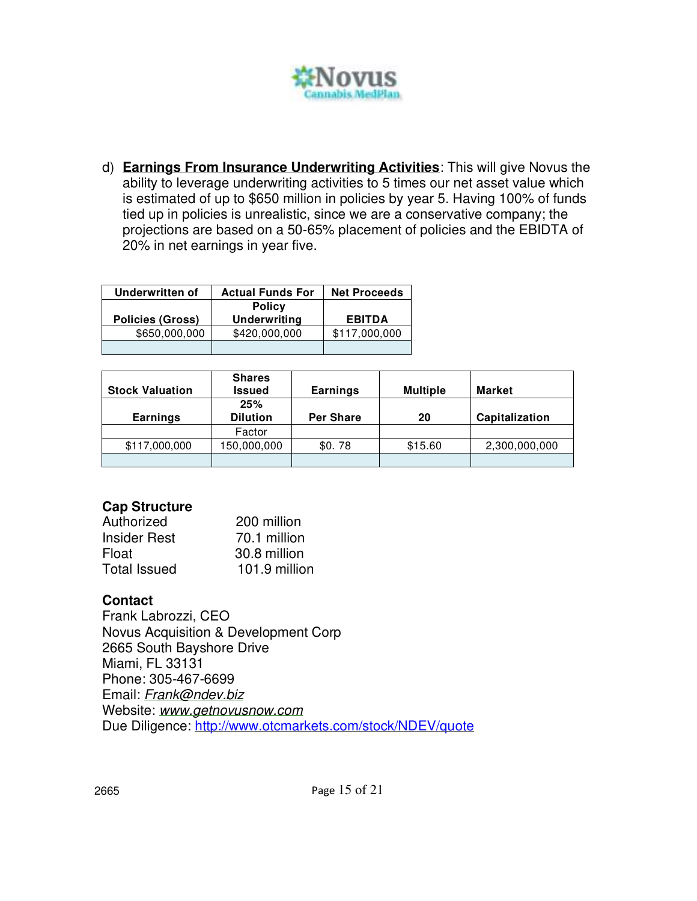

d) **Earnings From Insurance Underwriting Activities**: This will give Novus the ability to leverage underwriting activities to 5 times our net asset value which is estimated of up to \$650 million in policies by year 5. Having 100% of funds tied up in policies is unrealistic, since we are a conservative company; the projections are based on a 50-65% placement of policies and the EBIDTA of 20% in net earnings in year five.

| Underwritten of         | <b>Actual Funds For</b>              | <b>Net Proceeds</b> |
|-------------------------|--------------------------------------|---------------------|
| <b>Policies (Gross)</b> | <b>Policy</b><br><b>Underwriting</b> | <b>EBITDA</b>       |
| \$650,000,000           | \$420,000,000                        | \$117,000,000       |
|                         |                                      |                     |

| <b>Stock Valuation</b> | <b>Shares</b><br><b>Issued</b> | <b>Earnings</b>  | <b>Multiple</b> | Market         |
|------------------------|--------------------------------|------------------|-----------------|----------------|
| <b>Earnings</b>        | 25%<br><b>Dilution</b>         | <b>Per Share</b> | 20              | Capitalization |
|                        | Factor                         |                  |                 |                |
| \$117,000,000          | 150,000,000                    | \$0.78           | \$15.60         | 2,300,000,000  |
|                        |                                |                  |                 |                |

# **Cap Structure**

| Authorized          | 200 million   |
|---------------------|---------------|
| <b>Insider Rest</b> | 70.1 million  |
| Float               | 30.8 million  |
| <b>Total Issued</b> | 101.9 million |

# **Contact**

Frank Labrozzi, CEO Novus Acquisition & Development Corp 2665 South Bayshore Drive Miami, FL 33131 Phone: 305-467-6699 Email: *[Frank@ndev.biz](mailto:Frank@ndev.biz)*  Website: *[www.getnovusnow.com](http://www.getnovusnow.com/)*  Due Diligence:<http://www.otcmarkets.com/stock/NDEV/quote>